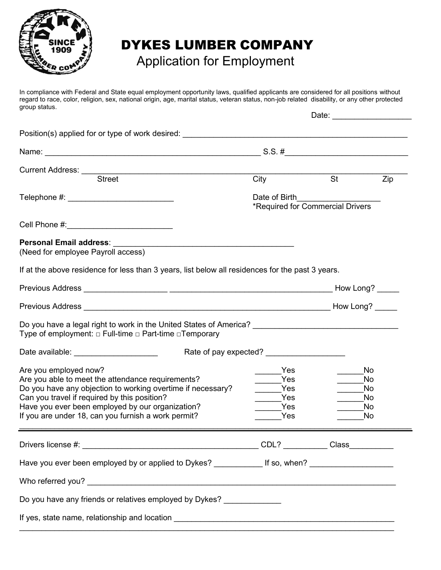

## DYKES LUMBER COMPANY

## Application for Employment

In compliance with Federal and State equal employment opportunity laws, qualified applicants are considered for all positions without regard to race, color, religion, sex, national origin, age, marital status, veteran status, non-job related disability, or any other protected group status.

|                                                                                                     |                                                                 | Date:                                                |     |
|-----------------------------------------------------------------------------------------------------|-----------------------------------------------------------------|------------------------------------------------------|-----|
| Position(s) applied for or type of work desired: _______________________________                    |                                                                 |                                                      |     |
|                                                                                                     |                                                                 |                                                      |     |
| Current Address: Street                                                                             |                                                                 |                                                      |     |
|                                                                                                     | City                                                            | $\overline{\phantom{a}}$ St                          | Zip |
| Telephone #: _____________________________                                                          |                                                                 |                                                      |     |
|                                                                                                     |                                                                 |                                                      |     |
|                                                                                                     |                                                                 |                                                      |     |
| <b>Personal Email address:</b><br><u> 1980 - Jan Barat, margaret eta idazlea (h. 1980).</u>         |                                                                 |                                                      |     |
| (Need for employee Payroll access)                                                                  |                                                                 |                                                      |     |
| If at the above residence for less than 3 years, list below all residences for the past 3 years.    |                                                                 |                                                      |     |
|                                                                                                     |                                                                 |                                                      |     |
|                                                                                                     |                                                                 |                                                      |     |
| Type of employment: $\Box$ Full-time $\Box$ Part-time $\Box$ Temporary                              |                                                                 |                                                      |     |
|                                                                                                     |                                                                 |                                                      |     |
| Are you employed now?                                                                               | Yes                                                             | No.                                                  |     |
| Are you able to meet the attendance requirements?                                                   | Yes                                                             | No                                                   |     |
| Do you have any objection to working overtime if necessary?                                         | $\sqrt{1 + 2}$ Yes                                              | No<br>No                                             |     |
| Can you travel if required by this position?<br>Have you ever been employed by our organization?    | $\frac{1}{\sqrt{1-\frac{1}{2}}}\text{Yes}$<br><b>Example ST</b> | <b>No</b><br>$\mathcal{L}^{\text{max}}_{\text{max}}$ |     |
| If you are under 18, can you furnish a work permit?                                                 | <b>Parage Street</b>                                            | No                                                   |     |
|                                                                                                     |                                                                 |                                                      |     |
|                                                                                                     |                                                                 |                                                      |     |
| Have you ever been employed by or applied to Dykes? _____________ If so, when? ____________________ |                                                                 |                                                      |     |
|                                                                                                     |                                                                 |                                                      |     |
| Do you have any friends or relatives employed by Dykes? _____________                               |                                                                 |                                                      |     |
|                                                                                                     |                                                                 |                                                      |     |
|                                                                                                     |                                                                 |                                                      |     |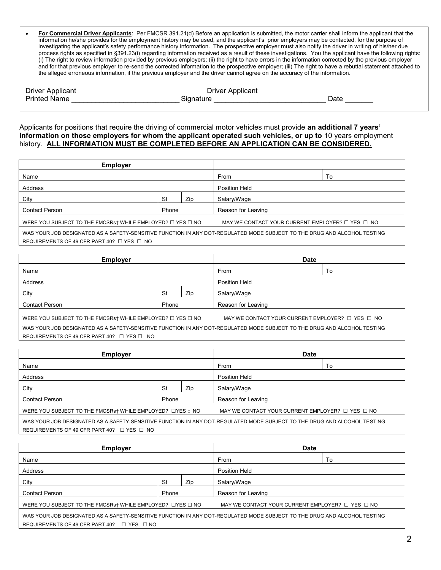| For Commercial Driver Applicants: Per FMCSR 391.21(d) Before an application is submitted, the motor carrier shall inform the applicant that the            |
|------------------------------------------------------------------------------------------------------------------------------------------------------------|
| information he/she provides for the employment history may be used, and the applicant's prior employers may be contacted, for the purpose of               |
| investigating the applicant's safety performance history information. The prospective employer must also notify the driver in writing of his/her due       |
| process rights as specified in §391.23(i) regarding information received as a result of these investigations. You the applicant have the following rights: |
| (i) The right to review information provided by previous employers; (ii) the right to have errors in the information corrected by the previous employer    |
| and for that previous employer to re-send the corrected information to the prospective employer; (iii) The right to have a rebuttal statement attached to  |
| the alleged erroneous information, if the previous employer and the driver cannot agree on the accuracy of the information.                                |

| <b>Driver Applicant</b> | <b>Driver Applicant</b> |      |
|-------------------------|-------------------------|------|
| <b>Printed Name</b>     | ⊰ionat⊔re.              | ⊃ate |
|                         |                         |      |

Applicants for positions that require the driving of commercial motor vehicles must provide **an additional 7 years' information on those employers for whom the applicant operated such vehicles, or up to** 10 years employment history. **ALL INFORMATION MUST BE COMPLETED BEFORE AN APPLICATION CAN BE CONSIDERED.** 

| <b>Employer</b>                                                                                                          |    |                    |                                                            |    |
|--------------------------------------------------------------------------------------------------------------------------|----|--------------------|------------------------------------------------------------|----|
| Name                                                                                                                     |    |                    | From                                                       | To |
| Address                                                                                                                  |    |                    | Position Held                                              |    |
| City                                                                                                                     | St | Zip                | Salary/Wage                                                |    |
| <b>Contact Person</b><br>Phone                                                                                           |    | Reason for Leaving |                                                            |    |
| WERE YOU SUBJECT TO THE FMCSRs† WHILE EMPLOYED? $\Box$ YES $\Box$ NO                                                     |    |                    | MAY WE CONTACT YOUR CURRENT EMPLOYER? $\Box$ YES $\Box$ NO |    |
| WAS YOUR JOB DESIGNATED AS A SAFETY-SENSITIVE FUNCTION IN ANY DOT-REGULATED MODE SUBJECT TO THE DRUG AND ALCOHOL TESTING |    |                    |                                                            |    |
| REQUIREMENTS OF 49 CFR PART 40? $\Box$ YES $\Box$ NO                                                                     |    |                    |                                                            |    |

| <b>Employer</b>                                                                                                          |    |                    | <b>Date</b>                                                |    |
|--------------------------------------------------------------------------------------------------------------------------|----|--------------------|------------------------------------------------------------|----|
| Name                                                                                                                     |    |                    | From                                                       | To |
| Address                                                                                                                  |    |                    | <b>Position Held</b>                                       |    |
| City                                                                                                                     | St | Zip                | Salary/Wage                                                |    |
| <b>Contact Person</b><br>Phone                                                                                           |    | Reason for Leaving |                                                            |    |
| WERE YOU SUBJECT TO THE FMCSRs† WHILE EMPLOYED? $\Box$ YES $\Box$ NO                                                     |    |                    | MAY WE CONTACT YOUR CURRENT EMPLOYER? $\Box$ YES $\Box$ NO |    |
| WAS YOUR JOB DESIGNATED AS A SAFETY-SENSITIVE FUNCTION IN ANY DOT-REGULATED MODE SUBJECT TO THE DRUG AND ALCOHOL TESTING |    |                    |                                                            |    |
| REQUIREMENTS OF 49 CFR PART 40? $\Box$ YES $\Box$ NO                                                                     |    |                    |                                                            |    |

| <b>Employer</b>                                                                                                          |           |               | <b>Date</b>        |    |
|--------------------------------------------------------------------------------------------------------------------------|-----------|---------------|--------------------|----|
| Name                                                                                                                     |           |               | From               | To |
| Address                                                                                                                  |           | Position Held |                    |    |
| City                                                                                                                     | <b>St</b> | Zip           | Salary/Wage        |    |
| <b>Contact Person</b>                                                                                                    | Phone     |               | Reason for Leaving |    |
| WERE YOU SUBJECT TO THE FMCSRs† WHILE EMPLOYED? LYES a NO<br>MAY WE CONTACT YOUR CURRENT EMPLOYER? $\Box$ YES $\Box$ NO  |           |               |                    |    |
| WAS YOUR JOB DESIGNATED AS A SAFETY-SENSITIVE FUNCTION IN ANY DOT-REGULATED MODE SUBJECT TO THE DRUG AND ALCOHOL TESTING |           |               |                    |    |

REQUIREMENTS OF 49 CFR PART 40? □ YES □ NO

| <b>Employer</b>                                                                                                          |       |     | <b>Date</b>                                                |    |
|--------------------------------------------------------------------------------------------------------------------------|-------|-----|------------------------------------------------------------|----|
| Name                                                                                                                     |       |     | From                                                       | To |
| Address                                                                                                                  |       |     | <b>Position Held</b>                                       |    |
| City                                                                                                                     | St    | Zip | Salary/Wage                                                |    |
| <b>Contact Person</b>                                                                                                    | Phone |     | Reason for Leaving                                         |    |
| WERE YOU SUBJECT TO THE FMCSRs† WHILE EMPLOYED? LYES LINO                                                                |       |     | MAY WE CONTACT YOUR CURRENT EMPLOYER? $\Box$ YES $\Box$ NO |    |
| WAS YOUR JOB DESIGNATED AS A SAFETY-SENSITIVE FUNCTION IN ANY DOT-REGULATED MODE SUBJECT TO THE DRUG AND ALCOHOL TESTING |       |     |                                                            |    |
| REQUIREMENTS OF 49 CFR PART 40?<br>$\Box$ YES $\Box$ NO                                                                  |       |     |                                                            |    |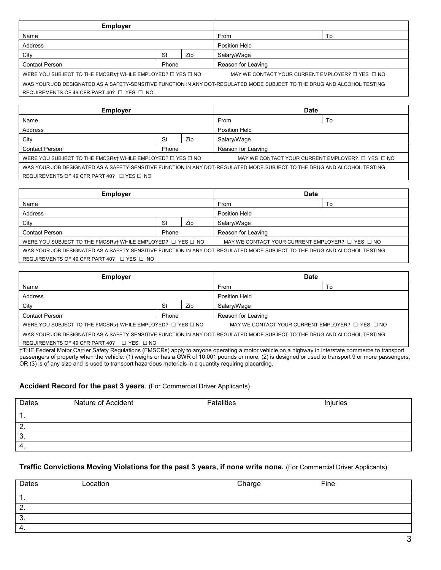| <b>Employer</b>                                                                                                          |       |                      |                                                            |    |
|--------------------------------------------------------------------------------------------------------------------------|-------|----------------------|------------------------------------------------------------|----|
| Name                                                                                                                     |       |                      | From                                                       | To |
| Address                                                                                                                  |       | <b>Position Held</b> |                                                            |    |
| City                                                                                                                     | St    | Zip                  | Salary/Wage                                                |    |
| <b>Contact Person</b>                                                                                                    | Phone |                      | Reason for Leaving                                         |    |
| WERE YOU SUBJECT TO THE FMCSRs† WHILE EMPLOYED? $\Box$ YES $\Box$ NO                                                     |       |                      | MAY WE CONTACT YOUR CURRENT EMPLOYER? $\Box$ YES $\Box$ NO |    |
| WAS YOUR JOB DESIGNATED AS A SAFETY-SENSITIVE FUNCTION IN ANY DOT-REGULATED MODE SUBJECT TO THE DRUG AND ALCOHOL TESTING |       |                      |                                                            |    |
| REQUIREMENTS OF 49 CFR PART 40? $\Box$ YES $\Box$ NO                                                                     |       |                      |                                                            |    |

| <b>Employer</b>                                                                                                          |       |               | <b>Date</b>                                                |    |
|--------------------------------------------------------------------------------------------------------------------------|-------|---------------|------------------------------------------------------------|----|
| Name                                                                                                                     |       |               | From                                                       | Т٥ |
| Address                                                                                                                  |       | Position Held |                                                            |    |
| City                                                                                                                     | St    | Zip           | Salary/Wage                                                |    |
| <b>Contact Person</b>                                                                                                    | Phone |               | Reason for Leaving                                         |    |
| WERE YOU SUBJECT TO THE FMCSRs† WHILE EMPLOYED? $\Box$ YES $\Box$ NO                                                     |       |               | MAY WE CONTACT YOUR CURRENT EMPLOYER? $\Box$ YES $\Box$ NO |    |
| WAS YOUR JOB DESIGNATED AS A SAFETY-SENSITIVE FUNCTION IN ANY DOT-REGULATED MODE SUBJECT TO THE DRUG AND ALCOHOL TESTING |       |               |                                                            |    |
| REQUIREMENTS OF 49 CFR PART 40? $\Box$ YES $\Box$ NO                                                                     |       |               |                                                            |    |

| <b>Employer</b>                                                                                                          |       |     | Date                                                       |    |
|--------------------------------------------------------------------------------------------------------------------------|-------|-----|------------------------------------------------------------|----|
| Name                                                                                                                     |       |     | From                                                       | To |
| Address                                                                                                                  |       |     | <b>Position Held</b>                                       |    |
| City                                                                                                                     | St    | Zip | Salary/Wage                                                |    |
| <b>Contact Person</b>                                                                                                    | Phone |     | Reason for Leaving                                         |    |
| WERE YOU SUBJECT TO THE FMCSRs† WHILE EMPLOYED? $\Box$ YES $\Box$ NO                                                     |       |     | MAY WE CONTACT YOUR CURRENT EMPLOYER? $\Box$ YES $\Box$ NO |    |
| WAS YOUR JOB DESIGNATED AS A SAFETY-SENSITIVE FUNCTION IN ANY DOT-REGULATED MODE SUBJECT TO THE DRUG AND ALCOHOL TESTING |       |     |                                                            |    |
| REQUIREMENTS OF 49 CFR PART 40? $\Box$ YES $\Box$ NO                                                                     |       |     |                                                            |    |

| <b>Employer</b>                                                                                                                    |       |               | <b>Date</b>        |    |
|------------------------------------------------------------------------------------------------------------------------------------|-------|---------------|--------------------|----|
| Name                                                                                                                               |       |               | From               | To |
| Address                                                                                                                            |       | Position Held |                    |    |
| City                                                                                                                               | St    | Zip           | Salary/Wage        |    |
| <b>Contact Person</b>                                                                                                              | Phone |               | Reason for Leaving |    |
| WERE YOU SUBJECT TO THE FMCSRst WHILE EMPLOYED? $\Box$ YES $\Box$ NO<br>MAY WE CONTACT YOUR CURRENT EMPLOYER? $\Box$ YES $\Box$ NO |       |               |                    |    |
| WAS YOUR JOB DESIGNATED AS A SAFETY-SENSITIVE FUNCTION IN ANY DOT-REGULATED MODE SUBJECT TO THE DRUG AND ALCOHOL TESTING           |       |               |                    |    |

REQUIREMENTS OF 49 CFR PART 40? □ YES □ NO

†THE Federal Motor Carrier Safety Regulations (FMSCRs) apply to anyone operating a motor vehicle on a highway in interstate commerce to transport passengers of property when the vehicle: (1) weighs or has a GWR of 10,001 pounds or more, (2) is designed or used to transport 9 or more passengers, OR (3) is of any size and is used to transport hazardous materials in a quantity requiring placarding.

## **Accident Record for the past 3 years**. (For Commercial Driver Applicants)

| Dates | Nature of Accident | <b>Fatalities</b> | Injuries |
|-------|--------------------|-------------------|----------|
|       |                    |                   |          |
| 2.    |                    |                   |          |
| 3.    |                    |                   |          |
| ີ 4.  |                    |                   |          |

## **Traffic Convictions Moving Violations for the past 3 years, if none write none.** (For Commercial Driver Applicants)

| Dates | Location | Charge | Fine |
|-------|----------|--------|------|
| . .   |          |        |      |
| 2.    |          |        |      |
| 3.    |          |        |      |
| 4.    |          |        |      |